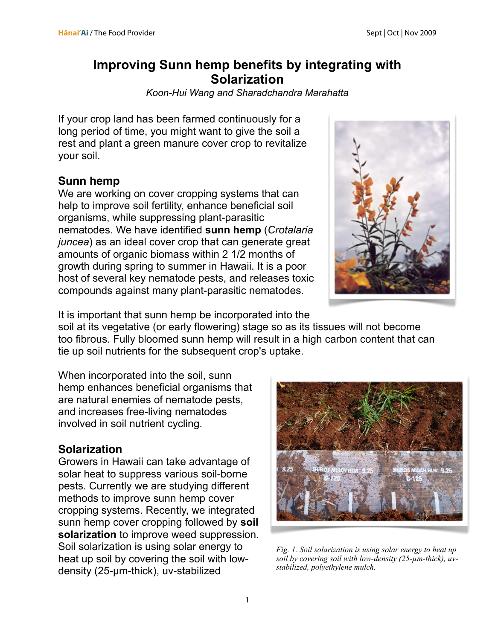## **Improving Sunn hemp benefits by integrating with Solarization**

*[Koon-Hui Wang](http://rs6.net/tn.jsp?t=9ge4j5cab.0.0.e95oj5cab.0&p=http%3A%2F%2Fwww.ctahr.hawaii.edu%2Forganic%2Fwang.asp&id=preview) and Sharadchandra Marahatta*

If your crop land has been farmed continuously for a long period of time, you might want to give the soil a rest and plant a green manure cover crop to revitalize your soil.

## **Sunn hemp**

We are working on cover cropping systems that can help to improve soil fertility, enhance beneficial soil organisms, while suppressing plant-parasitic nematodes. We have identified **sunn hemp** (*Crotalaria juncea*) as an ideal cover crop that can generate great amounts of organic biomass within 2 1/2 months of growth during spring to summer in Hawaii. It is a poor host of several key nematode pests, and releases toxic compounds against many plant-parasitic nematodes.



It is important that sunn hemp be incorporated into the soil at its vegetative (or early flowering) stage so as its tissues will not become too fibrous. Fully bloomed sunn hemp will result in a high carbon content that can tie up soil nutrients for the subsequent crop's uptake.

When incorporated into the soil, sunn hemp enhances beneficial organisms that are natural enemies of nematode pests, and increases free-living nematodes involved in soil nutrient cycling.

## **Solarization**

Growers in Hawaii can take advantage of solar heat to suppress various soil-borne pests. Currently we are studying different methods to improve sunn hemp cover cropping systems. Recently, we integrated sunn hemp cover cropping followed by **soil solarization** to improve weed suppression. Soil solarization is using solar energy to heat up soil by covering the soil with lowdensity (25-µm-thick), uv-stabilized



*Fig. 1. Soil solarization is using solar energy to heat up soil by covering soil with low-density (25-µm-thick), uvstabilized, polyethylene mulch.*